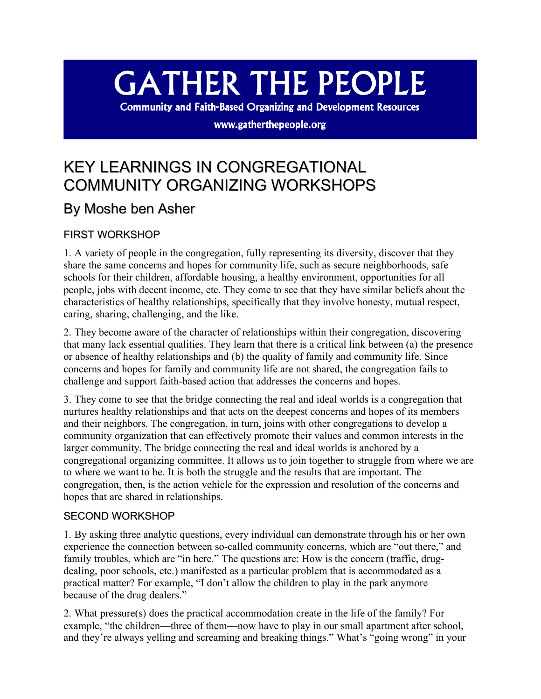# **GATHER THE PEOPLE**

**Community and Faith-Based Organizing and Development Resources** 

www.gatherthepeople.org

## KEY LEARNINGS IN CONGREGATIONAL COMMUNITY ORGANIZING WORKSHOPS

### By Moshe ben Asher

#### FIRST WORKSHOP

1. A variety of people in the congregation, fully representing its diversity, discover that they share the same concerns and hopes for community life, such as secure neighborhoods, safe schools for their children, affordable housing, a healthy environment, opportunities for all people, jobs with decent income, etc. They come to see that they have similar beliefs about the characteristics of healthy relationships, specifically that they involve honesty, mutual respect, caring, sharing, challenging, and the like.

2. They become aware of the character of relationships within their congregation, discovering that many lack essential qualities. They learn that there is a critical link between (a) the presence or absence of healthy relationships and (b) the quality of family and community life. Since concerns and hopes for family and community life are not shared, the congregation fails to challenge and support faith-based action that addresses the concerns and hopes.

3. They come to see that the bridge connecting the real and ideal worlds is a congregation that nurtures healthy relationships and that acts on the deepest concerns and hopes of its members and their neighbors. The congregation, in turn, joins with other congregations to develop a community organization that can effectively promote their values and common interests in the larger community. The bridge connecting the real and ideal worlds is anchored by a congregational organizing committee. It allows us to join together to struggle from where we are to where we want to be. It is both the struggle and the results that are important. The congregation, then, is the action vehicle for the expression and resolution of the concerns and hopes that are shared in relationships.

#### SECOND WORKSHOP

1. By asking three analytic questions, every individual can demonstrate through his or her own experience the connection between so-called community concerns, which are "out there," and family troubles, which are "in here." The questions are: How is the concern (traffic, drugdealing, poor schools, etc.) manifested as a particular problem that is accommodated as a practical matter? For example, "I don't allow the children to play in the park anymore because of the drug dealers."

2. What pressure(s) does the practical accommodation create in the life of the family? For example, "the children—three of them—now have to play in our small apartment after school, and they're always yelling and screaming and breaking things." What's "going wrong" in your